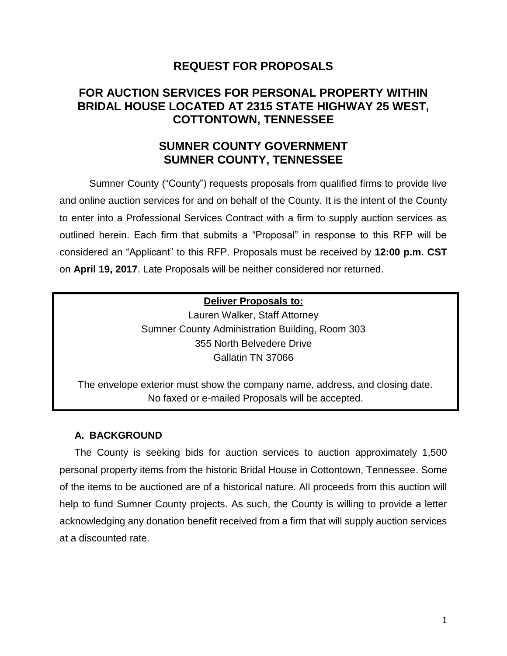# **REQUEST FOR PROPOSALS**

# **FOR AUCTION SERVICES FOR PERSONAL PROPERTY WITHIN BRIDAL HOUSE LOCATED AT 2315 STATE HIGHWAY 25 WEST, COTTONTOWN, TENNESSEE**

# **SUMNER COUNTY GOVERNMENT SUMNER COUNTY, TENNESSEE**

Sumner County ("County") requests proposals from qualified firms to provide live and online auction services for and on behalf of the County. It is the intent of the County to enter into a Professional Services Contract with a firm to supply auction services as outlined herein. Each firm that submits a "Proposal" in response to this RFP will be considered an "Applicant" to this RFP. Proposals must be received by **12:00 p.m. CST** on **April 19, 2017**. Late Proposals will be neither considered nor returned.

## **Deliver Proposals to:**

Lauren Walker, Staff Attorney Sumner County Administration Building, Room 303 355 North Belvedere Drive Gallatin TN 37066

The envelope exterior must show the company name, address, and closing date. No faxed or e-mailed Proposals will be accepted.

## **A. BACKGROUND**

The County is seeking bids for auction services to auction approximately 1,500 personal property items from the historic Bridal House in Cottontown, Tennessee. Some of the items to be auctioned are of a historical nature. All proceeds from this auction will help to fund Sumner County projects. As such, the County is willing to provide a letter acknowledging any donation benefit received from a firm that will supply auction services at a discounted rate.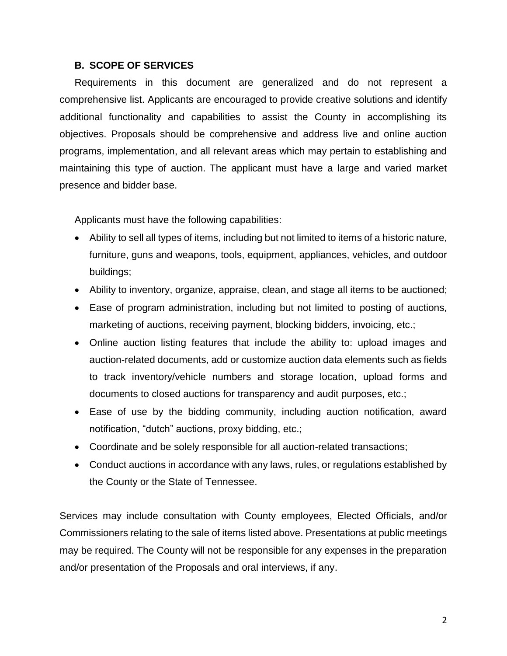## **B. SCOPE OF SERVICES**

Requirements in this document are generalized and do not represent a comprehensive list. Applicants are encouraged to provide creative solutions and identify additional functionality and capabilities to assist the County in accomplishing its objectives. Proposals should be comprehensive and address live and online auction programs, implementation, and all relevant areas which may pertain to establishing and maintaining this type of auction. The applicant must have a large and varied market presence and bidder base.

Applicants must have the following capabilities:

- Ability to sell all types of items, including but not limited to items of a historic nature, furniture, guns and weapons, tools, equipment, appliances, vehicles, and outdoor buildings;
- Ability to inventory, organize, appraise, clean, and stage all items to be auctioned;
- Ease of program administration, including but not limited to posting of auctions, marketing of auctions, receiving payment, blocking bidders, invoicing, etc.;
- Online auction listing features that include the ability to: upload images and auction-related documents, add or customize auction data elements such as fields to track inventory/vehicle numbers and storage location, upload forms and documents to closed auctions for transparency and audit purposes, etc.;
- Ease of use by the bidding community, including auction notification, award notification, "dutch" auctions, proxy bidding, etc.;
- Coordinate and be solely responsible for all auction-related transactions;
- Conduct auctions in accordance with any laws, rules, or regulations established by the County or the State of Tennessee.

Services may include consultation with County employees, Elected Officials, and/or Commissioners relating to the sale of items listed above. Presentations at public meetings may be required. The County will not be responsible for any expenses in the preparation and/or presentation of the Proposals and oral interviews, if any.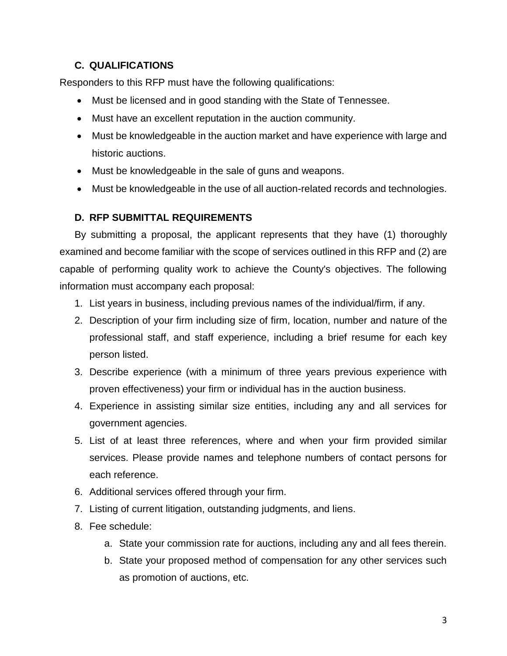## **C. QUALIFICATIONS**

Responders to this RFP must have the following qualifications:

- Must be licensed and in good standing with the State of Tennessee.
- Must have an excellent reputation in the auction community.
- Must be knowledgeable in the auction market and have experience with large and historic auctions.
- Must be knowledgeable in the sale of guns and weapons.
- Must be knowledgeable in the use of all auction-related records and technologies.

## **D. RFP SUBMITTAL REQUIREMENTS**

By submitting a proposal, the applicant represents that they have (1) thoroughly examined and become familiar with the scope of services outlined in this RFP and (2) are capable of performing quality work to achieve the County's objectives. The following information must accompany each proposal:

- 1. List years in business, including previous names of the individual/firm, if any.
- 2. Description of your firm including size of firm, location, number and nature of the professional staff, and staff experience, including a brief resume for each key person listed.
- 3. Describe experience (with a minimum of three years previous experience with proven effectiveness) your firm or individual has in the auction business.
- 4. Experience in assisting similar size entities, including any and all services for government agencies.
- 5. List of at least three references, where and when your firm provided similar services. Please provide names and telephone numbers of contact persons for each reference.
- 6. Additional services offered through your firm.
- 7. Listing of current litigation, outstanding judgments, and liens.
- 8. Fee schedule:
	- a. State your commission rate for auctions, including any and all fees therein.
	- b. State your proposed method of compensation for any other services such as promotion of auctions, etc.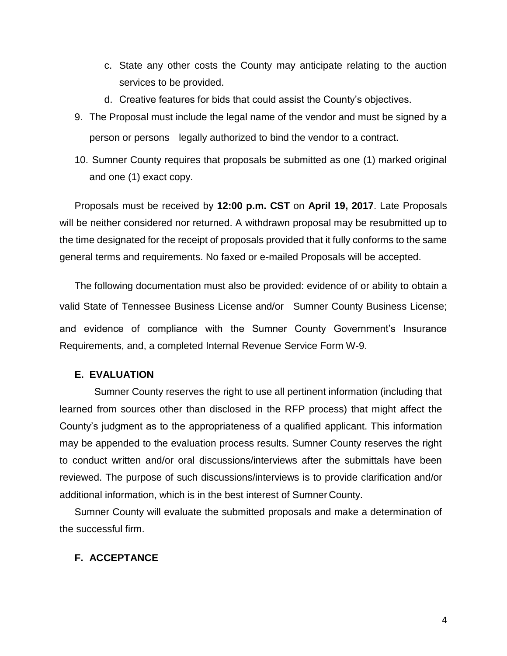- c. State any other costs the County may anticipate relating to the auction services to be provided.
- d. Creative features for bids that could assist the County's objectives.
- 9. The Proposal must include the legal name of the vendor and must be signed by a person or persons legally authorized to bind the vendor to a contract.
- 10. Sumner County requires that proposals be submitted as one (1) marked original and one (1) exact copy.

Proposals must be received by **12:00 p.m. CST** on **April 19, 2017**. Late Proposals will be neither considered nor returned. A withdrawn proposal may be resubmitted up to the time designated for the receipt of proposals provided that it fully conforms to the same general terms and requirements. No faxed or e-mailed Proposals will be accepted.

The following documentation must also be provided: evidence of or ability to obtain a valid State of Tennessee Business License and/or Sumner County Business License; and evidence of compliance with the Sumner County Government's Insurance Requirements, and, a completed Internal Revenue Service Form W-9.

## **E. EVALUATION**

Sumner County reserves the right to use all pertinent information (including that learned from sources other than disclosed in the RFP process) that might affect the County's judgment as to the appropriateness of a qualified applicant. This information may be appended to the evaluation process results. Sumner County reserves the right to conduct written and/or oral discussions/interviews after the submittals have been reviewed. The purpose of such discussions/interviews is to provide clarification and/or additional information, which is in the best interest of Sumner County.

Sumner County will evaluate the submitted proposals and make a determination of the successful firm.

## **F. ACCEPTANCE**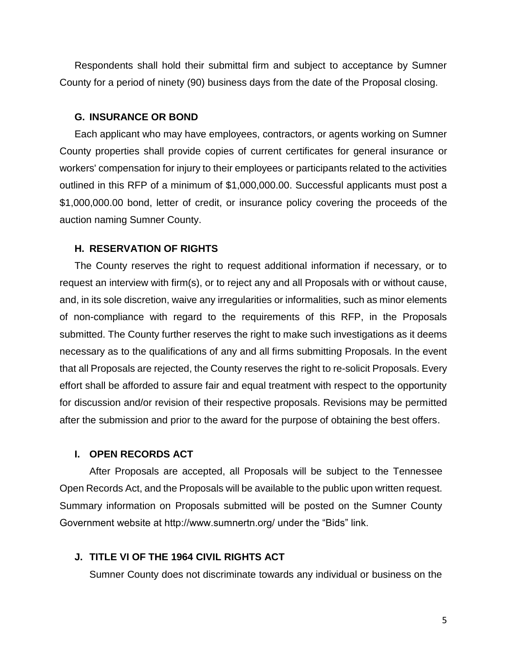Respondents shall hold their submittal firm and subject to acceptance by Sumner County for a period of ninety (90) business days from the date of the Proposal closing.

#### **G. INSURANCE OR BOND**

Each applicant who may have employees, contractors, or agents working on Sumner County properties shall provide copies of current certificates for general insurance or workers' compensation for injury to their employees or participants related to the activities outlined in this RFP of a minimum of \$1,000,000.00. Successful applicants must post a \$1,000,000.00 bond, letter of credit, or insurance policy covering the proceeds of the auction naming Sumner County.

### **H. RESERVATION OF RIGHTS**

The County reserves the right to request additional information if necessary, or to request an interview with firm(s), or to reject any and all Proposals with or without cause, and, in its sole discretion, waive any irregularities or informalities, such as minor elements of non-compliance with regard to the requirements of this RFP, in the Proposals submitted. The County further reserves the right to make such investigations as it deems necessary as to the qualifications of any and all firms submitting Proposals. In the event that all Proposals are rejected, the County reserves the right to re-solicit Proposals. Every effort shall be afforded to assure fair and equal treatment with respect to the opportunity for discussion and/or revision of their respective proposals. Revisions may be permitted after the submission and prior to the award for the purpose of obtaining the best offers.

#### **I. OPEN RECORDS ACT**

After Proposals are accepted, all Proposals will be subject to the Tennessee Open Records Act, and the Proposals will be available to the public upon written request. Summary information on Proposals submitted will be posted on the Sumner County Government website at http://www.sumnertn.org/ under the "Bids" link.

### **J. TITLE VI OF THE 1964 CIVIL RIGHTS ACT**

Sumner County does not discriminate towards any individual or business on the